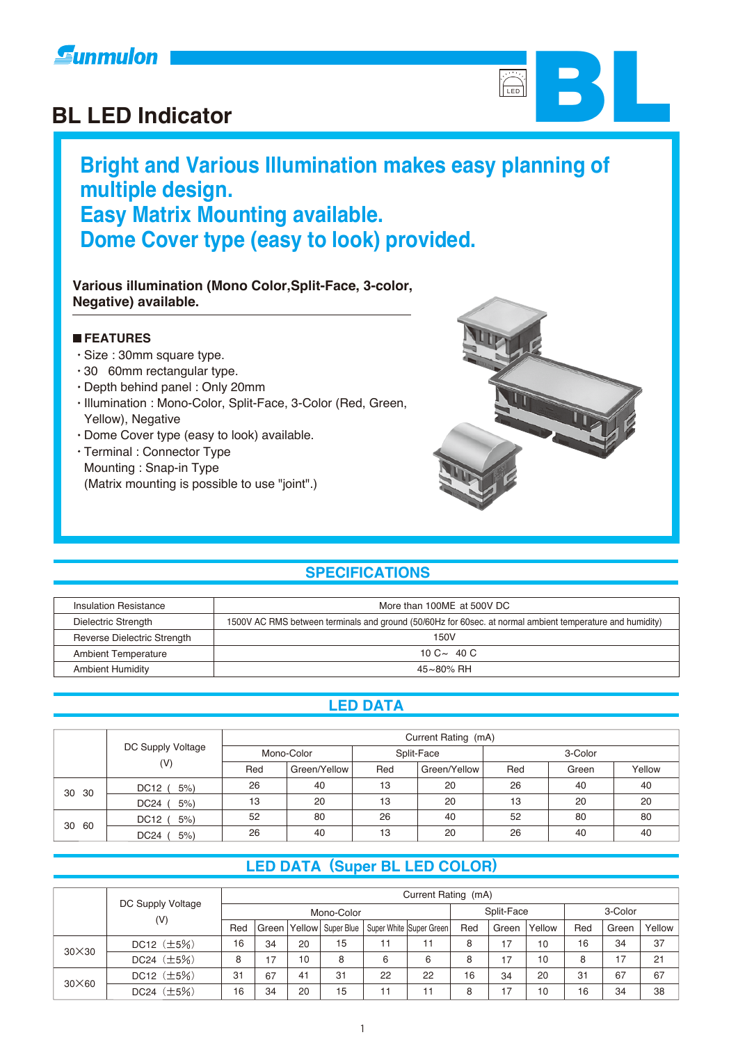



# **Bright and Various Illumination makes easy planning of multiple design. Easy Matrix Mounting available. Dome Cover type (easy to look) provided.**

#### **Various illumination (Mono Color,Split-Face, 3-color, Negative) available.**

#### **FEATURES**

- Size : 30mm square type.
- 30 60mm rectangular type.
- Depth behind panel : Only 20mm
- Illumination : Mono-Color, Split-Face, 3-Color (Red, Green, Yellow), Negative
- Dome Cover type (easy to look) available.
- Terminal : Connector Type Mounting : Snap-in Type (Matrix mounting is possible to use "joint".)



### **SPECIFICATIONS**

| Insulation Resistance                                                                                                            | More than 100MF at 500V DC |  |  |  |
|----------------------------------------------------------------------------------------------------------------------------------|----------------------------|--|--|--|
| 1500V AC RMS between terminals and ground (50/60Hz for 60sec. at normal ambient temperature and humidity)<br>Dielectric Strength |                            |  |  |  |
| Reverse Dielectric Strength                                                                                                      | 150V                       |  |  |  |
| <b>Ambient Temperature</b>                                                                                                       | 10 $C \sim 40 C$           |  |  |  |
| <b>Ambient Humidity</b>                                                                                                          | 45~80% RH                  |  |  |  |

#### **LED DATA**

|       |                            | Current Rating (mA) |              |     |              |         |       |        |  |
|-------|----------------------------|---------------------|--------------|-----|--------------|---------|-------|--------|--|
|       | DC Supply Voltage          | Mono-Color          |              |     | Split-Face   | 3-Color |       |        |  |
|       | (V)                        |                     | Green/Yellow | Red | Green/Yellow | Red     | Green | Yellow |  |
| 30 30 | <b>DC12</b><br>5%          | 26                  | 40           | 13  | 20           | 26      | 40    | 40     |  |
|       | DC <sub>24</sub><br>$5%$ ) | 13                  | 20           | 13  | 20           | 13      | 20    | 20     |  |
| 30 60 | $5%$ )<br>DC12             | 52                  | 80           | 26  | 40           | 52      | 80    | 80     |  |
|       | $5%$ )<br>DC24             | 26                  | 40           | 13  | 20           | 26      | 40    | 40     |  |

### **LED DATA (Super BL LED COLOR)**

|               |                   | Current Rating (mA) |       |         |            |    |                         |     |       |         |     |       |        |
|---------------|-------------------|---------------------|-------|---------|------------|----|-------------------------|-----|-------|---------|-----|-------|--------|
|               | DC Supply Voltage | Mono-Color          |       |         |            |    | Split-Face              |     |       | 3-Color |     |       |        |
|               | (V)               | Red                 | Green | Yellowl | Super Blue |    | Super White Super Green | Red | Green | Yellow  | Red | Green | Yellow |
| $30\times30$  | DC12 $(\pm 5\%)$  | 16                  | 34    | 20      | 15         | 11 | 11                      | 8   | 17    | 10      | 16  | 34    | 37     |
|               | DC24 $(\pm 5%)$   | 8                   | 17    | 10      | 8          | 6  | 6                       | 8   | 17    | 10      | 8   | 17    | 21     |
| $30\times 60$ | DC12 $(\pm 5\%)$  | 31                  | 67    | 41      | 31         | 22 | 22                      | 16  | 34    | 20      | 31  | 67    | 67     |
|               | DC24 $(\pm 5\%)$  | 16                  | 34    | 20      | 15         | 11 | 11                      | 8   | 17    | 10      | 16  | 34    | 38     |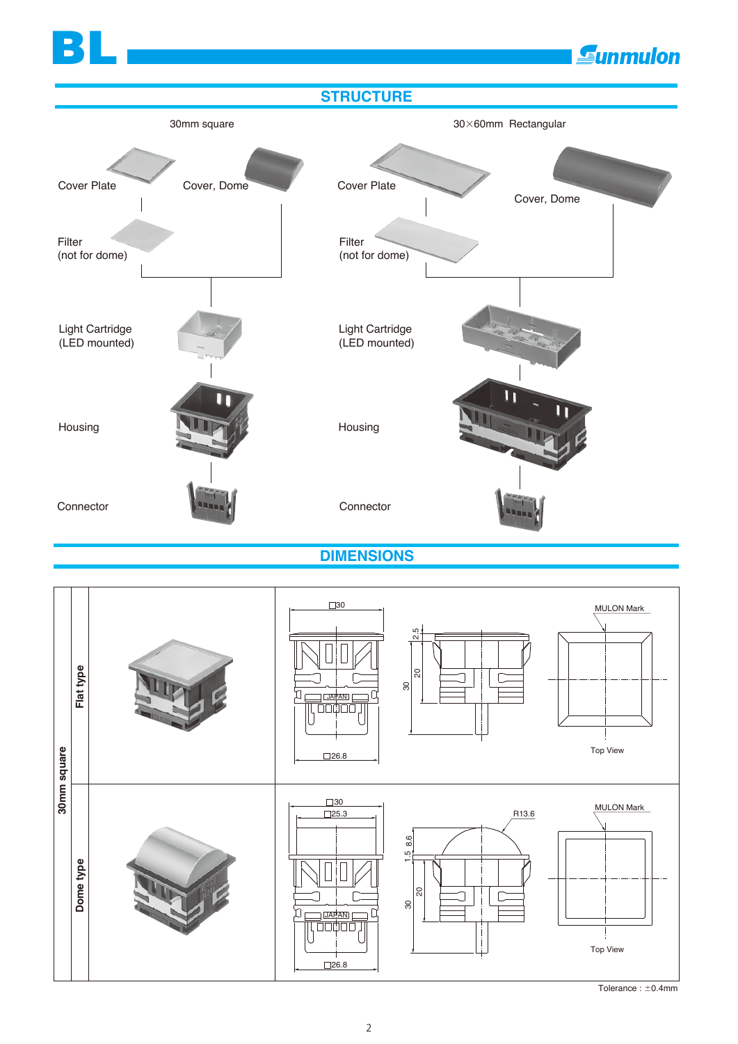**E**unmulon



BL

**DIMENSIONS**



Tolerance :  $\pm$ 0.4mm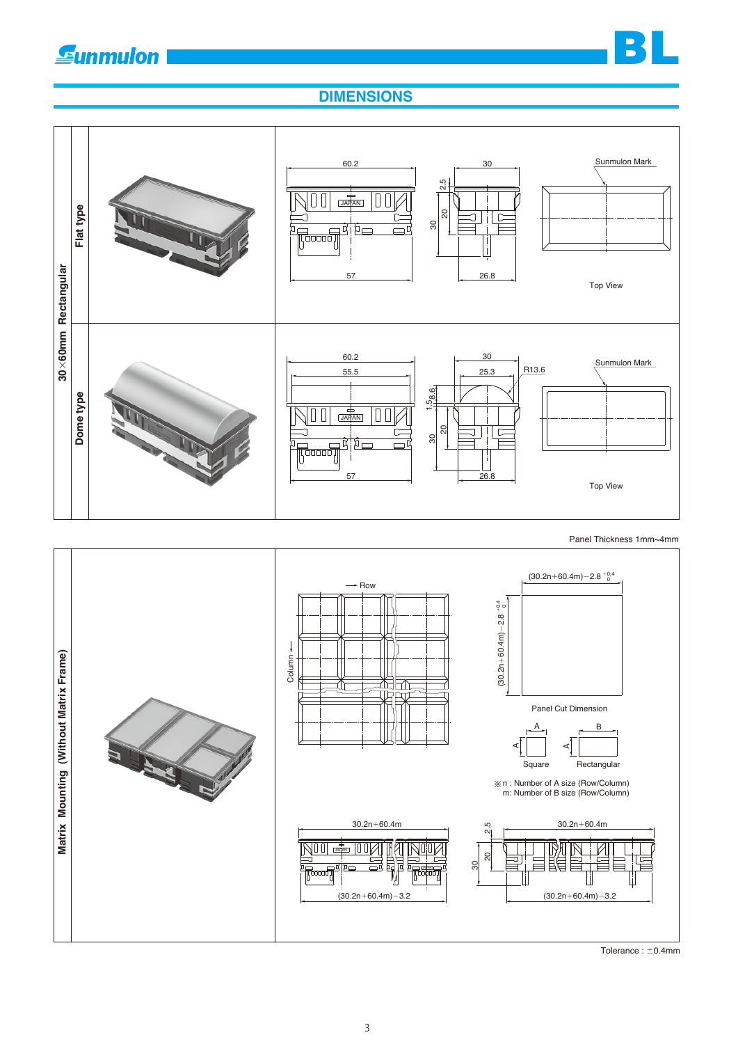

### **DIMENSIONS**



Tolerance :  $\pm$ 0.4mm

 $(30.2n + 60.4m) - 3.2$ 

 $(30.2n + 60.4m) - 3.2$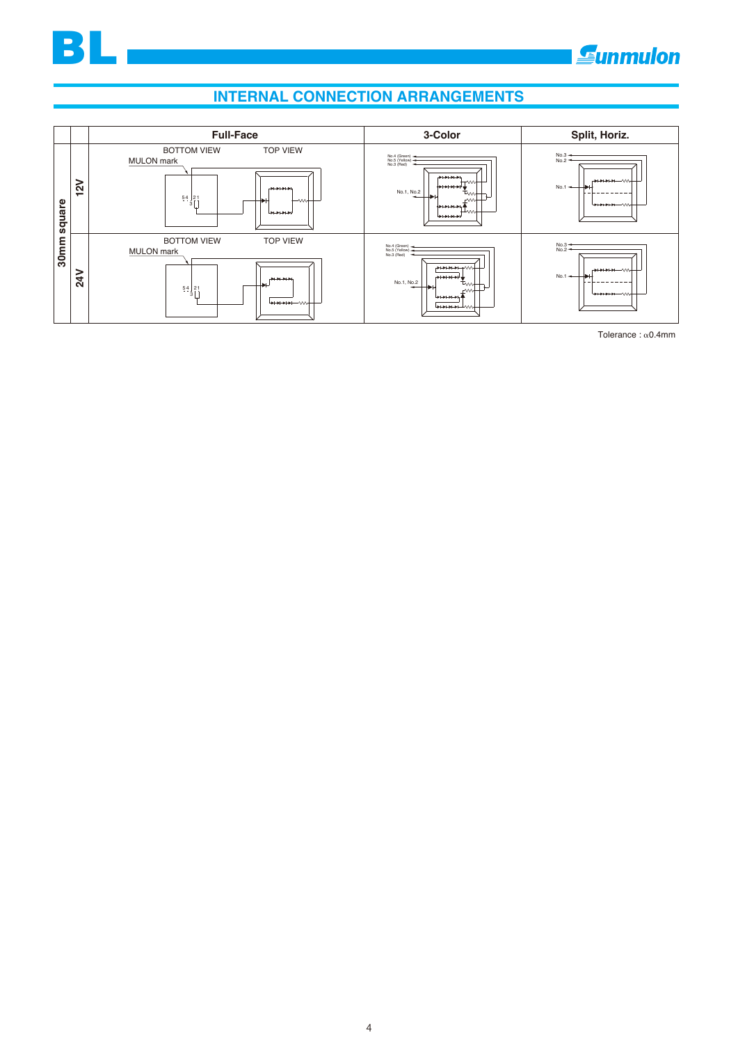

# **Sunmulon**

## **INTERNAL CONNECTION ARRANGEMENTS**



Tolerance :  $\alpha$ 0.4mm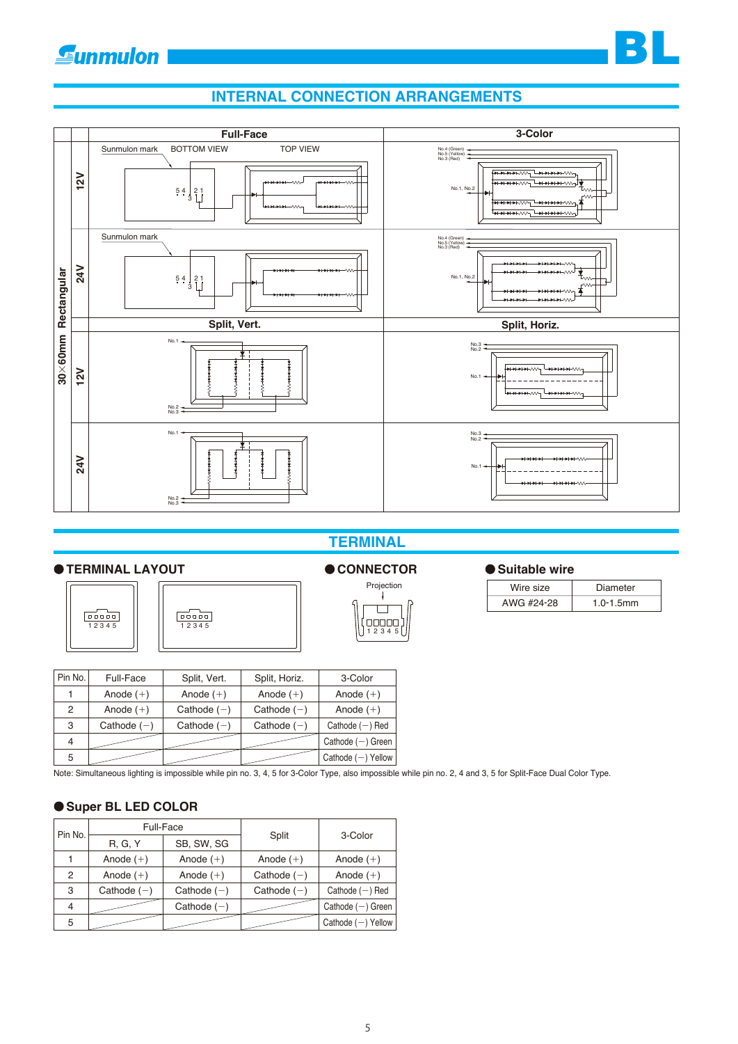

#### **INTERNAL CONNECTION ARRANGEMENTS**



#### **TERMINAL**

#### **TERMINAL LAYOUT**





# Projection<br> $\downarrow$  $\Box$

| Pin No.        | Full-Face     | Split, Vert.  | Split, Horiz. | 3-Color              |
|----------------|---------------|---------------|---------------|----------------------|
|                | Anode $(+)$   | Anode $(+)$   | Anode $(+)$   | Anode $(+)$          |
| 2              | Anode $(+)$   | Cathode $(-)$ | Cathode $(-)$ | Anode $(+)$          |
| 3              | Cathode $(-)$ | Cathode $(-)$ | Cathode $(-)$ | Cathode $(-)$ Red    |
| $\overline{4}$ |               |               |               | Cathode $(-)$ Green  |
| 5              |               |               |               | Cathode $(-)$ Yellow |

Note: Simultaneous lighting is impossible while pin no. 3, 4, 5 for 3-Color Type, also impossible while pin no. 2, 4 and 3, 5 for Split-Face Dual Color Type.

#### **Super BL LED COLOR**

| Pin No. | Full-Face      |               |               | 3-Color              |  |
|---------|----------------|---------------|---------------|----------------------|--|
|         | <b>R. G. Y</b> | SB, SW, SG    | Split         |                      |  |
|         | Anode $(+)$    | Anode $(+)$   | Anode $(+)$   | Anode $(+)$          |  |
| 2       | Anode $(+)$    | Anode $(+)$   | Cathode $(-)$ | Anode $(+)$          |  |
| 3       | Cathode $(-)$  | Cathode $(-)$ | Cathode $(-)$ | Cathode $(-)$ Red    |  |
| 4       |                | Cathode $(-)$ |               | Cathode $(-)$ Green  |  |
| 5       |                |               |               | Cathode $(-)$ Yellow |  |

#### ● CONNECTOR ● Suitable wire

| Wire size  | Diameter       |
|------------|----------------|
| AWG #24-28 | $1.0 - 1.5$ mm |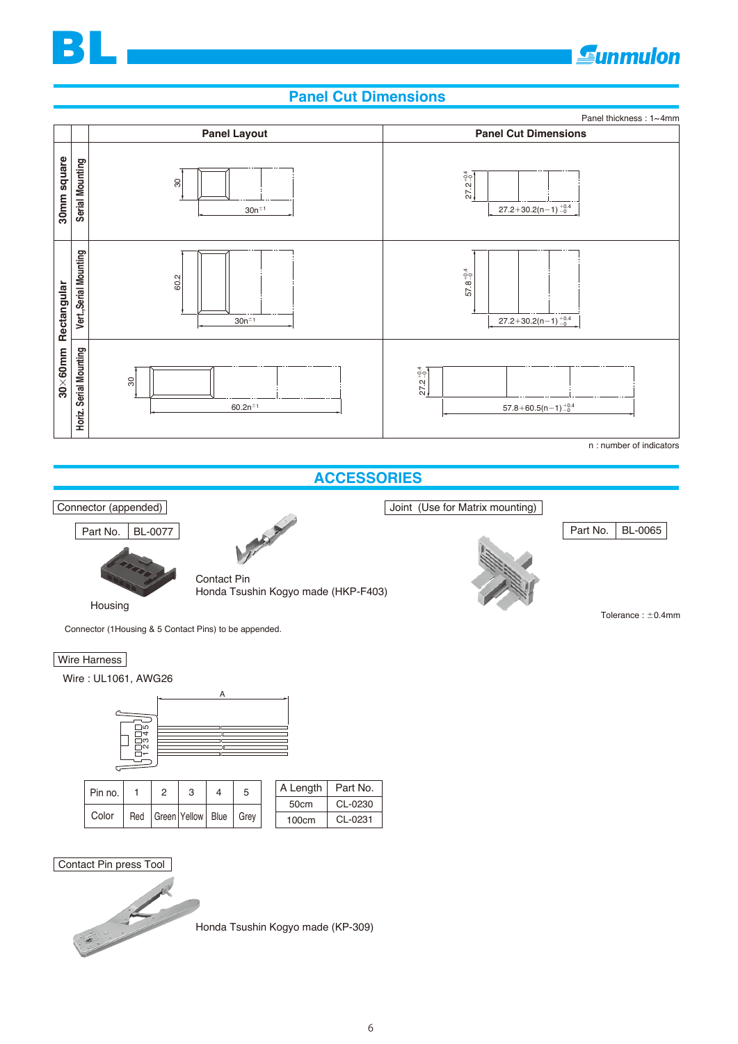

# **Gunmulon**

#### **Panel Cut Dimensions**



Honda Tsushin Kogyo made (KP-309)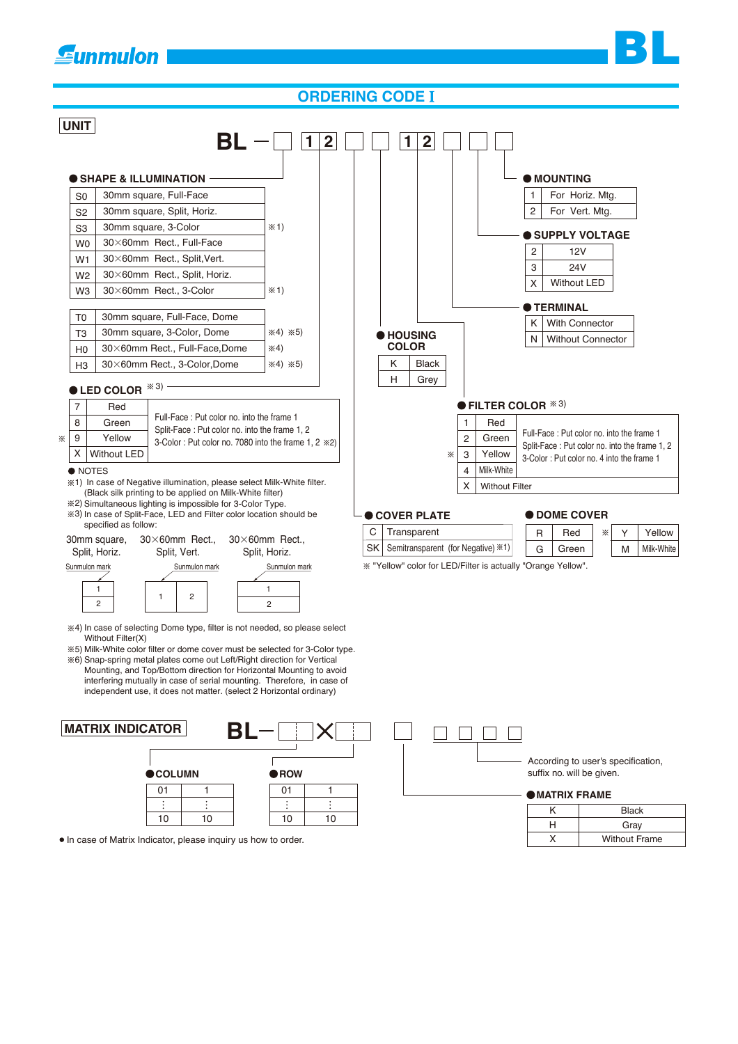# **E**unmulon

#### **ORDERING CODE**



 $\bullet$  In case of Matrix Indicator, please inquiry us how to order.